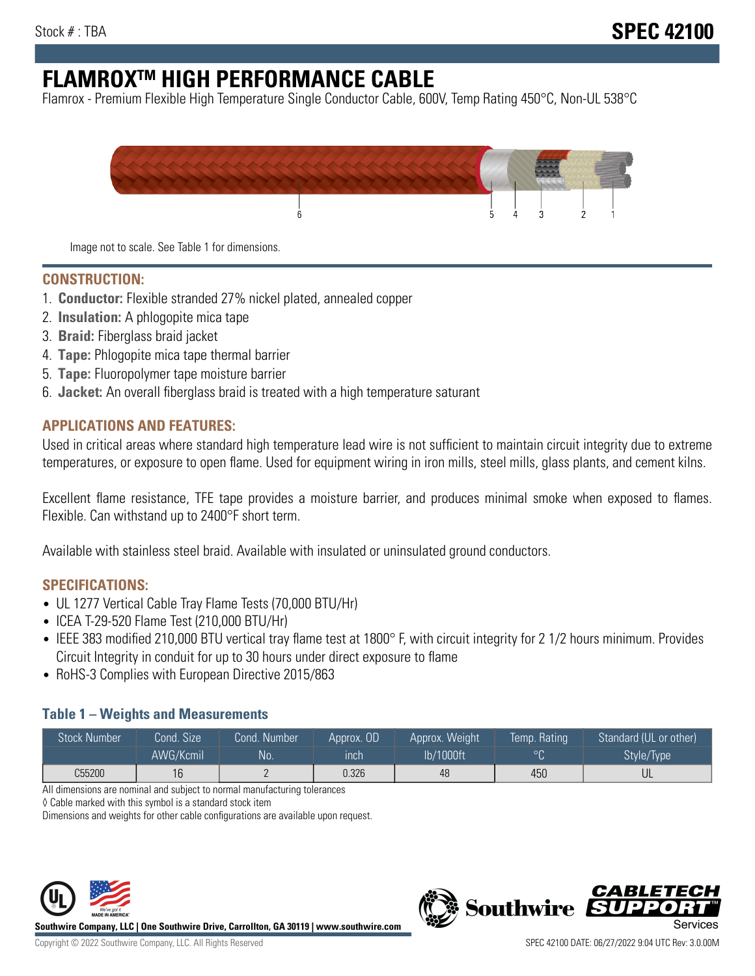# **FLAMROXTM HIGH PERFORMANCE CABLE**

Flamrox - Premium Flexible High Temperature Single Conductor Cable, 600V, Temp Rating 450°C, Non-UL 538°C



Image not to scale. See Table 1 for dimensions.

#### **CONSTRUCTION:**

- 1. **Conductor:** Flexible stranded 27% nickel plated, annealed copper
- 2. **Insulation:** A phlogopite mica tape
- 3. **Braid:** Fiberglass braid jacket
- 4. **Tape:** Phlogopite mica tape thermal barrier
- 5. **Tape:** Fluoropolymer tape moisture barrier
- 6. **Jacket:** An overall fiberglass braid is treated with a high temperature saturant

#### **APPLICATIONS AND FEATURES:**

Used in critical areas where standard high temperature lead wire is not sufficient to maintain circuit integrity due to extreme temperatures, or exposure to open flame. Used for equipment wiring in iron mills, steel mills, glass plants, and cement kilns.

Excellent flame resistance, TFE tape provides a moisture barrier, and produces minimal smoke when exposed to flames. Flexible. Can withstand up to 2400°F short term.

Available with stainless steel braid. Available with insulated or uninsulated ground conductors.

#### **SPECIFICATIONS:**

- UL 1277 Vertical Cable Tray Flame Tests (70,000 BTU/Hr)
- ICEA T-29-520 Flame Test (210,000 BTU/Hr)
- IEEE 383 modified 210,000 BTU vertical tray flame test at 1800° F, with circuit integrity for 2 1/2 hours minimum. Provides Circuit Integrity in conduit for up to 30 hours under direct exposure to flame
- RoHS-3 Complies with European Directive 2015/863

#### **Table 1 – Weights and Measurements**

| <b>Stock Number</b> | Cond. Size | Cond. Number | Approx. OD | Approx. Weight | Temp. Rating | Standard (UL or other)  |
|---------------------|------------|--------------|------------|----------------|--------------|-------------------------|
|                     | AWG/Kcmil  | <b>No</b>    | inch       | lb/1000ft      | $\circ$      | Style/Type <sup>1</sup> |
| C55200              | 16         |              | 0.326      | 48             | 450          | UL                      |

All dimensions are nominal and subject to normal manufacturing tolerances

◊ Cable marked with this symbol is a standard stock item

Dimensions and weights for other cable configurations are available upon request.



**Southwire Company, LLC | One Southwire Drive, Carrollton, GA 30119 | www.southwire.com**